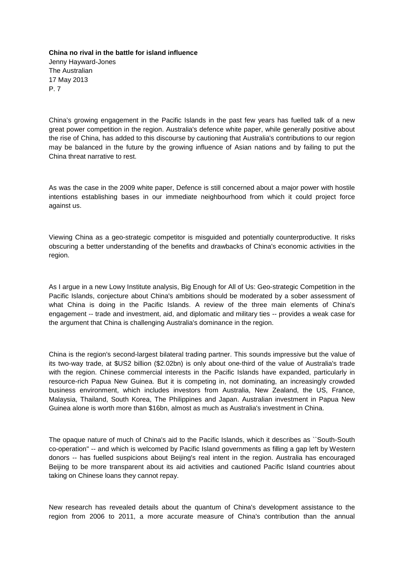**China no rival in the battle for island influence** Jenny Hayward-Jones The Australian 17 May 2013 P. 7

China's growing engagement in the Pacific Islands in the past few years has fuelled talk of a new great power competition in the region. Australia's defence white paper, while generally positive about the rise of China, has added to this discourse by cautioning that Australia's contributions to our region may be balanced in the future by the growing influence of Asian nations and by failing to put the China threat narrative to rest.

As was the case in the 2009 white paper, Defence is still concerned about a major power with hostile intentions establishing bases in our immediate neighbourhood from which it could project force against us.

Viewing China as a geo-strategic competitor is misguided and potentially counterproductive. It risks obscuring a better understanding of the benefits and drawbacks of China's economic activities in the region.

As I argue in a new Lowy Institute analysis, Big Enough for All of Us: Geo-strategic Competition in the Pacific Islands, conjecture about China's ambitions should be moderated by a sober assessment of what China is doing in the Pacific Islands. A review of the three main elements of China's engagement -- trade and investment, aid, and diplomatic and military ties -- provides a weak case for the argument that China is challenging Australia's dominance in the region.

China is the region's second-largest bilateral trading partner. This sounds impressive but the value of its two-way trade, at \$US2 billion (\$2.02bn) is only about one-third of the value of Australia's trade with the region. Chinese commercial interests in the Pacific Islands have expanded, particularly in resource-rich Papua New Guinea. But it is competing in, not dominating, an increasingly crowded business environment, which includes investors from Australia, New Zealand, the US, France, Malaysia, Thailand, South Korea, The Philippines and Japan. Australian investment in Papua New Guinea alone is worth more than \$16bn, almost as much as Australia's investment in China.

The opaque nature of much of China's aid to the Pacific Islands, which it describes as ``South-South co-operation'' -- and which is welcomed by Pacific Island governments as filling a gap left by Western donors -- has fuelled suspicions about Beijing's real intent in the region. Australia has encouraged Beijing to be more transparent about its aid activities and cautioned Pacific Island countries about taking on Chinese loans they cannot repay.

New research has revealed details about the quantum of China's development assistance to the region from 2006 to 2011, a more accurate measure of China's contribution than the annual